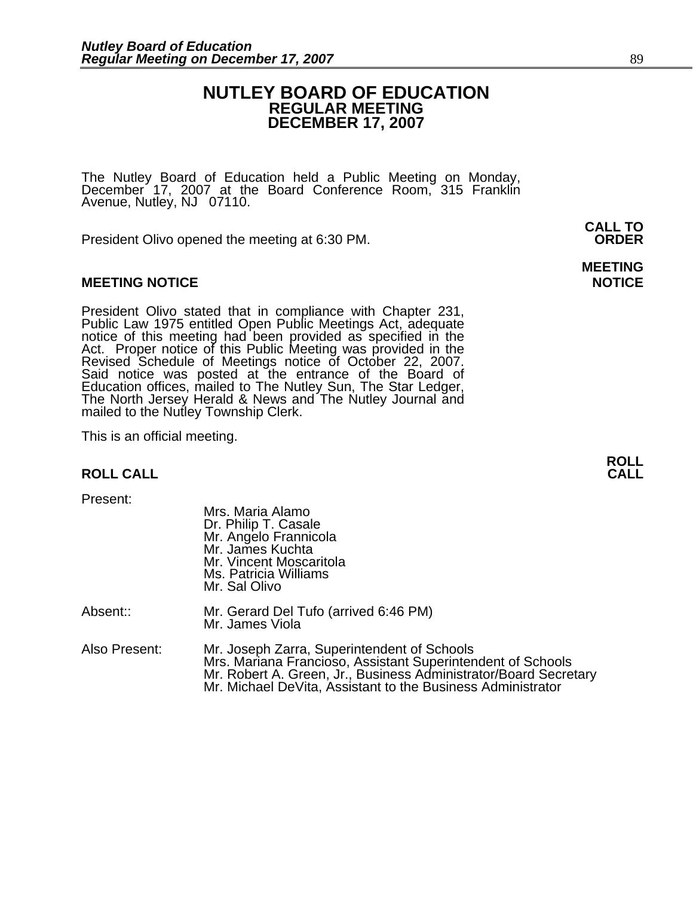#### **NUTLEY BOARD OF EDUCATION REGULAR MEETING DECEMBER 17, 2007**

The Nutley Board of Education held a Public Meeting on Monday, December 17, 2007 at the Board Conference Room, 315 Franklin Avenue, Nutley, NJ 07110.

 **CALL TO**  President Olivo opened the meeting at 6:30 PM. **ORDER**

#### **MEETING NOTICE NOTICE REPORTS AND ALCOHOL**

President Olivo stated that in compliance with Chapter 231,<br>Public Law 1975 entitled Open Public Meetings Act, adequate<br>notice of this meeting had been provided as specified in the<br>Act. Proper notice of this Public Meeting Said notice was posted at the entrance of the Board of Education offices, mailed to The Nutley Sun, The Star Ledger,<br>The North Jersey Herald & News and The Nutley Journal and<br>mailed to the Nutley Township Clerk.

This is an official meeting.

#### **ROLL CALL**

Present:

|               | Mrs. Maria Alamo<br>Dr. Philip T. Casale<br>Mr. Angelo Frannicola<br>Mr. James Kuchta<br>Mr. Vincent Moscaritola<br>Ms. Patricia Williams<br>Mr. Sal Olivo                                                                                    |
|---------------|-----------------------------------------------------------------------------------------------------------------------------------------------------------------------------------------------------------------------------------------------|
| Absent::      | Mr. Gerard Del Tufo (arrived 6:46 PM)<br>Mr. James Viola                                                                                                                                                                                      |
| Also Present: | Mr. Joseph Zarra, Superintendent of Schools<br>Mrs. Mariana Francioso, Assistant Superintendent of Schools<br>Mr. Robert A. Green, Jr., Business Administrator/Board Secretary<br>Mr. Michael DeVita, Assistant to the Business Administrator |

**MEETING** 

**ROLL**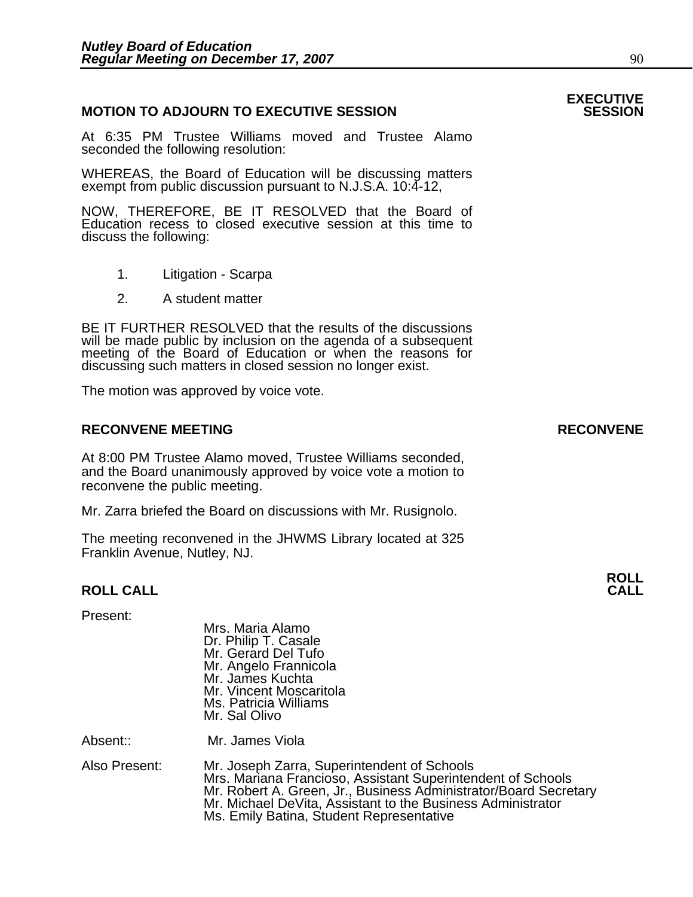#### **MOTION TO ADJOURN TO EXECUTIVE SESSION**

At 6:35 PM Trustee Williams moved and Trustee Alamo seconded the following resolution:

WHEREAS, the Board of Education will be discussing matters exempt from public discussion pursuant to N.J.S.A. 10:4-12,

NOW, THEREFORE, BE IT RESOLVED that the Board of Education recess to closed executive session at this time to discuss the following:

- 1. Litigation Scarpa
- 2. A student matter

BE IT FURTHER RESOLVED that the results of the discussions will be made public by inclusion on the agenda of a subsequent meeting of the Board of Education or when the reasons for discussing such matters in closed session no longer exist.

The motion was approved by voice vote.

#### **RECONVENE MEETING RECONVENE**

At 8:00 PM Trustee Alamo moved, Trustee Williams seconded, and the Board unanimously approved by voice vote a motion to reconvene the public meeting.

Mr. Zarra briefed the Board on discussions with Mr. Rusignolo.

The meeting reconvened in the JHWMS Library located at 325 Franklin Avenue, Nutley, NJ.

#### **ROLL CALL CALL**

#### Present:

 Mrs. Maria Alamo Dr. Philip T. Casale Mr. Gerard Del Tufo Mr. Angelo Frannicola Mr. James Kuchta Mr. Vincent Moscaritola Ms. Patricia Williams Mr. Sal Olivo

Absent:: Mr. James Viola

Also Present: Mr. Joseph Zarra, Superintendent of Schools Mr. Robert A. Green, Jr., Business Administrator/Board Secretary<br>Mr. Michael DeVita, Assistant to the Business Administrator Ms. Emily Batina, Student Representative

## **EXECUTIVE**

**ROLL**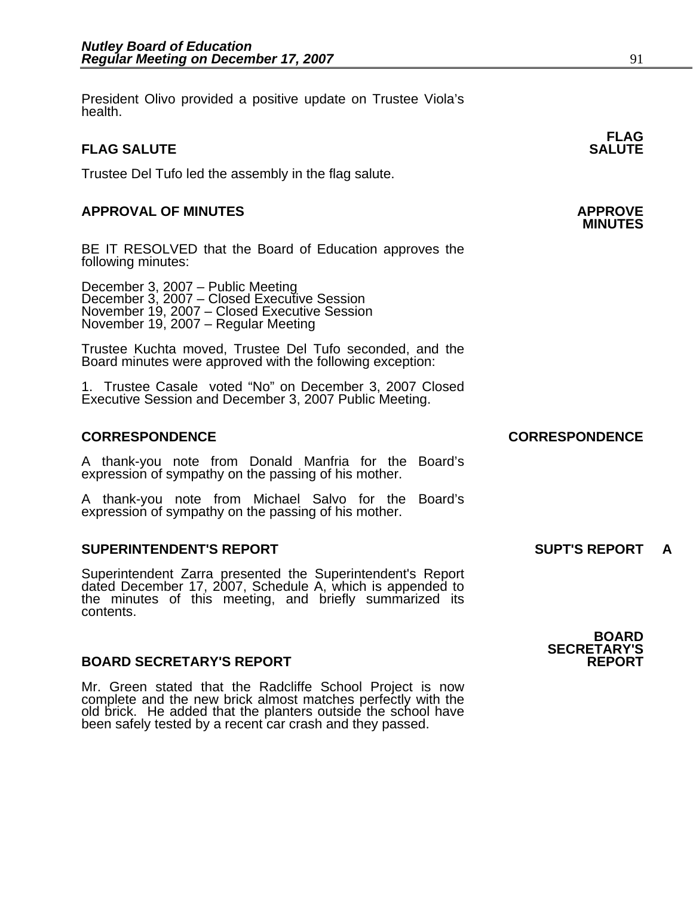President Olivo provided a positive update on Trustee Viola's health.

#### **FLAG SALUTE** SALUTE SALUTE SALUTE SALUTE SALUTE

Trustee Del Tufo led the assembly in the flag salute.

### **APPROVAL OF MINUTES APPROVE**

BE IT RESOLVED that the Board of Education approves the following minutes:

 December 3, 2007 – Public Meeting December 3, 2007 – Closed Executive Session November 19, 2007 – Closed Executive Session November 19, 2007 – Regular Meeting

> Trustee Kuchta moved, Trustee Del Tufo seconded, and the Board minutes were approved with the following exception:

> 1. Trustee Casale voted "No" on December 3, 2007 Closed Executive Session and December 3, 2007 Public Meeting.

#### **CORRESPONDENCE CORRESPONDENCE**

A thank-you note from Donald Manfria for the Board's expression of sympathy on the passing of his mother.

A thank-you note from Michael Salvo for the Board's expression of sympathy on the passing of his mother.

#### **SUPERINTENDENT'S REPORT SUPT'S REPORT A**

Superintendent Zarra presented the Superintendent's Report dated December 17, 2007, Schedule A, which is appended to the minutes of this meeting, and briefly summarized its contents.

#### **BOARD SECRETARY'S REPORT**

Mr. Green stated that the Radcliffe School Project is now complete and the new brick almost matches perfectly with the old brick. He added that the planters outside the school have been safely tested by a recent car crash

**FLAG** 

### **BOARD SECRETARY'S**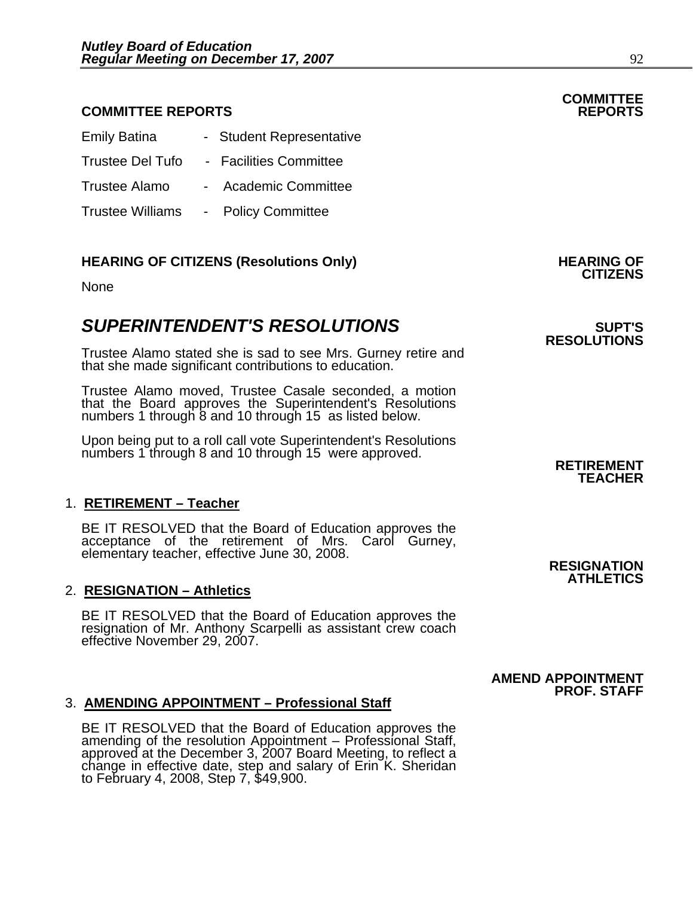#### **COMMITTEE REPORTS REPORTS**

| <b>Emily Batina</b>     | - Student Representative |                    |
|-------------------------|--------------------------|--------------------|
| <b>Trustee Del Tufo</b> | - Facilities Committee   |                    |
| <b>Trustee Alamo</b>    |                          | Academic Committee |
| <b>Trustee Williams</b> | <b>Policy Committee</b>  |                    |

### **HEARING OF CITIZENS (Resolutions Only) HEARING OF CITIZENS**

#### None

### **SUPERINTENDENT'S RESOLUTIONS EXAMPLE ASSESSED ASSESSED ASSESSED ASSESSED ASSESSED ASSESSED ASSESSED ASSESSED ASSESSED ASSESSED ASSESSED ASSESSED ASSESSED ASSESSED ASSESSED ASSESSED ASSESSED ASSESSED ASSESSED ASSESSED AS**

Trustee Alamo stated she is sad to see Mrs. Gurney retire and that she made significant contributions to education.

Trustee Alamo moved, Trustee Casale seconded, a motion that the Board approves the Superintendent's Resolutions numbers 1 through 8 and 10 through 15 as listed below.

Upon being put to a roll call vote Superintendent's Resolutions numbers 1 through 8 and 10 through 15 were approved. **RETIREMENT** 

#### 1. **RETIREMENT – Teacher**

BE IT RESOLVED that the Board of Education approves the acceptance of the retirement of Mrs. Carol Gurney, elementary teacher, effective June 30, 2008. **RESIGNATION** 

#### 2. **RESIGNATION – Athletics**

BE IT RESOLVED that the Board of Education approves the resignation of Mr. Anthony Scarpelli as assistant crew coach effective November 29, 2007.

#### 3. **AMENDING APPOINTMENT – Professional Staff**

BE IT RESOLVED that the Board of Education approves the<br>amending of the resolution Appointment – Professional Staff, approved at the December 3, 2007 Board Meeting, to reflect a<br>change in effective date, step and salary of Erin K. Sheridan<br>to February 4, 2008, Step 7, \$49,900. **RESOLUTIONS** 

# **TEACHER**

### **ATHLETICS**

 **AMEND APPOINTMENT PROF. STAFF**

# **COMMITTEE**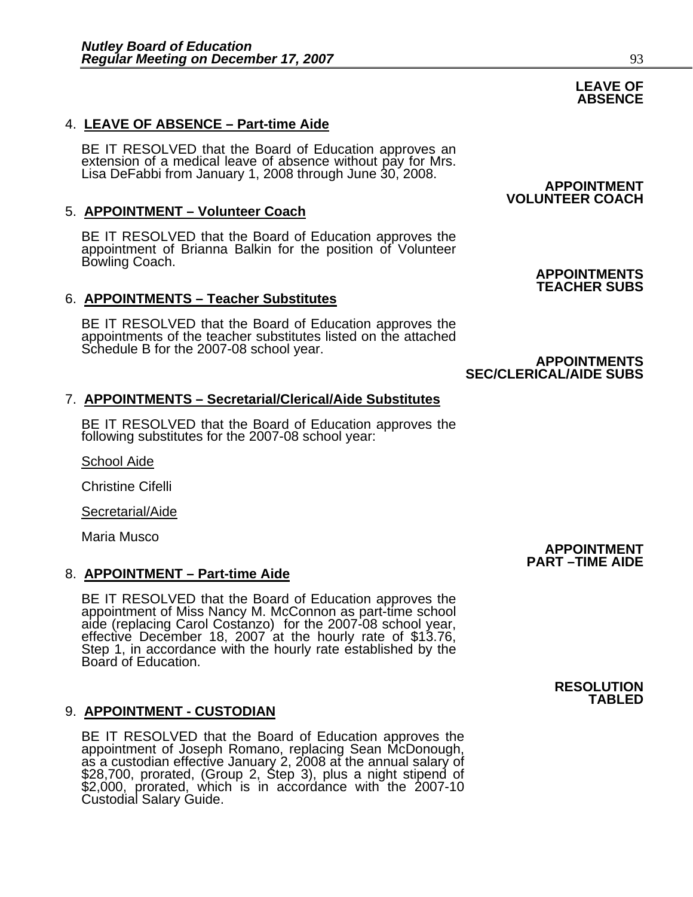#### 4. **LEAVE OF ABSENCE – Part-time Aide**

BE IT RESOLVED that the Board of Education approves an<br>extension of a medical leave of absence without pay for Mrs.<br>Lisa DeFabbi from January 1, 2008 through June 30, 2008. **APPOINTMENT** 

#### 5. **APPOINTMENT – Volunteer Coach**

BE IT RESOLVED that the Board of Education approves the appointment of Brianna Balkin for the position of Volunteer Bowling Coach. Bowling Coach. **APPOINTMENTS** 

#### 6. **APPOINTMENTS – Teacher Substitutes**

BE IT RESOLVED that the Board of Education approves the appointments of the teacher substitutes listed on the attached Schedule B for the 2007-08 school year.<br>**APPOINTMENTS** 

#### 7. **APPOINTMENTS – Secretarial/Clerical/Aide Substitutes**

BE IT RESOLVED that the Board of Education approves the following substitutes for the 2007-08 school year:

School Aide

Christine Cifelli

Secretarial/Aide

Maria Musco

#### 8. **APPOINTMENT – Part-time Aide**

BE IT RESOLVED that the Board of Education approves the<br>appointment of Miss Nancy M. McConnon as part-time school<br>aide (replacing Carol Costanzo) for the 2007-08 school year,<br>effective December 18, 2007 at the hourly rate

#### 9. **APPOINTMENT - CUSTODIAN**

BE IT RESOLVED that the Board of Education approves the appointment of Joseph Romano, replacing Sean McDonough, as a custodian effective January 2, 2008 at the annual salary of \$28,700, prorated, (Group 2, Step 3), plus a \$2,000, prorated, which is in accordance with the 2007-10 Custodial Salary Guide.

# **VOLUNTEER COACH**

### **TEACHER SUBS**

### **SEC/CLERICAL/AIDE SUBS**

### **PART –TIME AIDE**

 **APPOINTMENT** 

#### **RESOLUTION TABLED**

#### **LEAVE OF ABSENCE**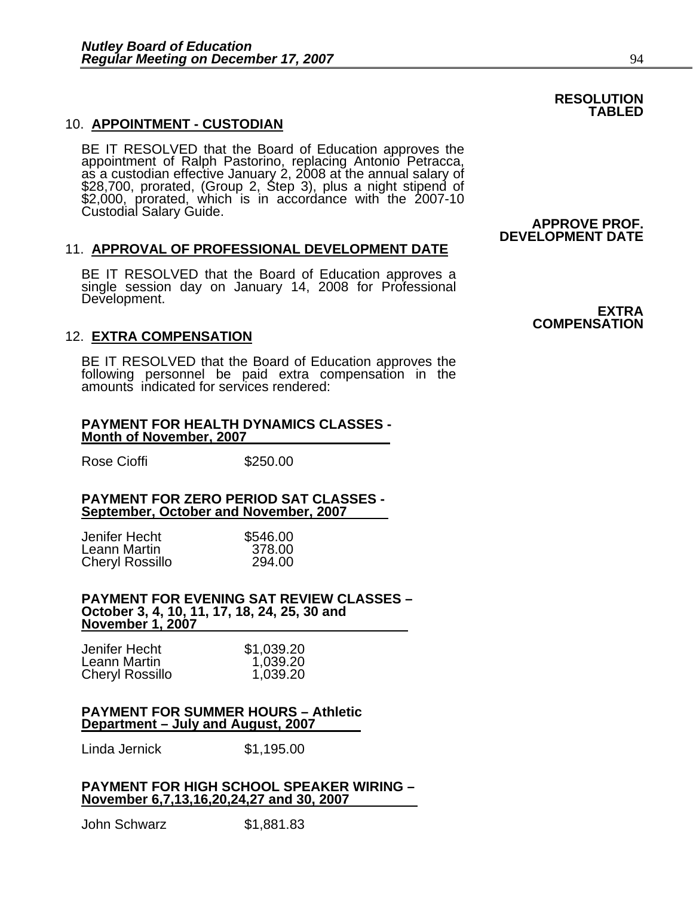#### 10. **APPOINTMENT - CUSTODIAN**

BE IT RESOLVED that the Board of Education approves the<br>appointment of Ralph Pastorino, replacing Antonio Petracca,<br>as a custodian effective January 2, 2008 at the annual salary of<br>\$28,700, prorated, (Group 2, Step 3), plu \$2,000, prorated, which is in accordance with the 2007-10 Custodial Salary Guide. **APPROVE PROF.** 

#### 11. **APPROVAL OF PROFESSIONAL DEVELOPMENT DATE**

BE IT RESOLVED that the Board of Education approves a single session day on January 14, 2008 for Professional Development.

#### 12. **EXTRA COMPENSATION**

BE IT RESOLVED that the Board of Education approves the following personnel be paid extra compensation in the amounts indicated for services rendered:

#### **PAYMENT FOR HEALTH DYNAMICS CLASSES - Month of November, 2007**

Rose Cioffi **\$250.00** 

#### **PAYMENT FOR ZERO PERIOD SAT CLASSES - September, October and November, 2007**

| Jenifer Hecht   | \$546.00 |
|-----------------|----------|
| Leann Martin    | 378.00   |
| Cheryl Rossillo | 294.00   |

#### **PAYMENT FOR EVENING SAT REVIEW CLASSES – October 3, 4, 10, 11, 17, 18, 24, 25, 30 and November 1, 2007**

| Jenifer Hecht          | \$1,039.20 |
|------------------------|------------|
| Leann Martin           | 1,039.20   |
| <b>Cheryl Rossillo</b> | 1,039.20   |

#### **PAYMENT FOR SUMMER HOURS – Athletic Department – July and August, 2007**

Linda Jernick \$1,195.00

#### **PAYMENT FOR HIGH SCHOOL SPEAKER WIRING – November 6,7,13,16,20,24,27 and 30, 2007**

John Schwarz \$1,881.83

**EXTRA COMPENSATION**

**DEVELOPMENT DATE**

#### **RESOLUTION TABLED**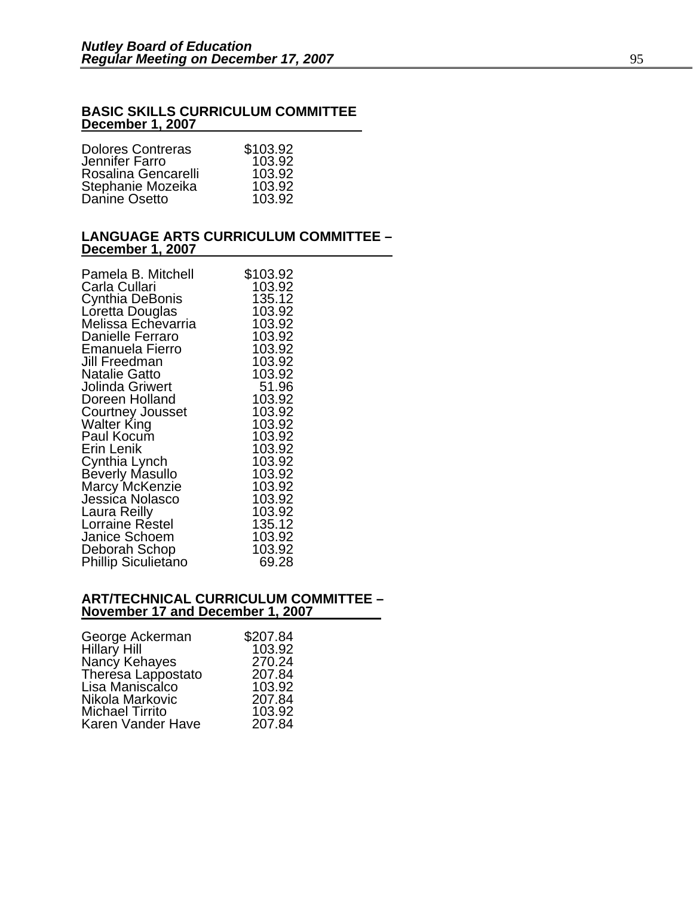#### **BASIC SKILLS CURRICULUM COMMITTEE December 1, 2007**

| <b>Dolores Contreras</b><br>Jennifer Farro | \$103.92<br>103.92 |
|--------------------------------------------|--------------------|
| Rosalina Gencarelli                        | 103.92             |
| Stephanie Mozeika                          | 103.92             |
| Danine Osetto                              | 103.92             |

#### **LANGUAGE ARTS CURRICULUM COMMITTEE – December 1, 2007**

| Pamela B. Mitchell         | \$103.92 |
|----------------------------|----------|
| Carla Cullari              | 103.92   |
| Cynthia DeBonis            | 135.12   |
| Loretta Douglas            | 103.92   |
| Melissa Echevarria         | 103.92   |
| Danielle Ferraro           | 103.92   |
| <b>Emanuela Fierro</b>     | 103.92   |
| Jill Freedman              | 103.92   |
| <b>Natalie Gatto</b>       | 103.92   |
| Jolinda Griwert            | 51.96    |
| Doreen Holland             | 103.92   |
| <b>Courtney Jousset</b>    | 103.92   |
| Walter King                | 103.92   |
| Paul Kocum                 | 103.92   |
| Erin Lenik                 | 103.92   |
| Cynthia Lynch              | 103.92   |
| Beverly Masullo            | 103.92   |
| <b>Marcy McKenzie</b>      | 103.92   |
| Jessica Nolasco            | 103.92   |
| Laura Reilly               | 103.92   |
| Lorraine Réstel            | 135.12   |
| Janice Schoem              | 103.92   |
| Deborah Schop              | 103.92   |
| <b>Phillip Siculietano</b> | 69.28    |

#### **ART/TECHNICAL CURRICULUM COMMITTEE – November 17 and December 1, 2007**

| \$207.84 |
|----------|
| 103.92   |
| 270.24   |
| 207.84   |
| 103.92   |
| 207.84   |
| 103.92   |
| 207.84   |
|          |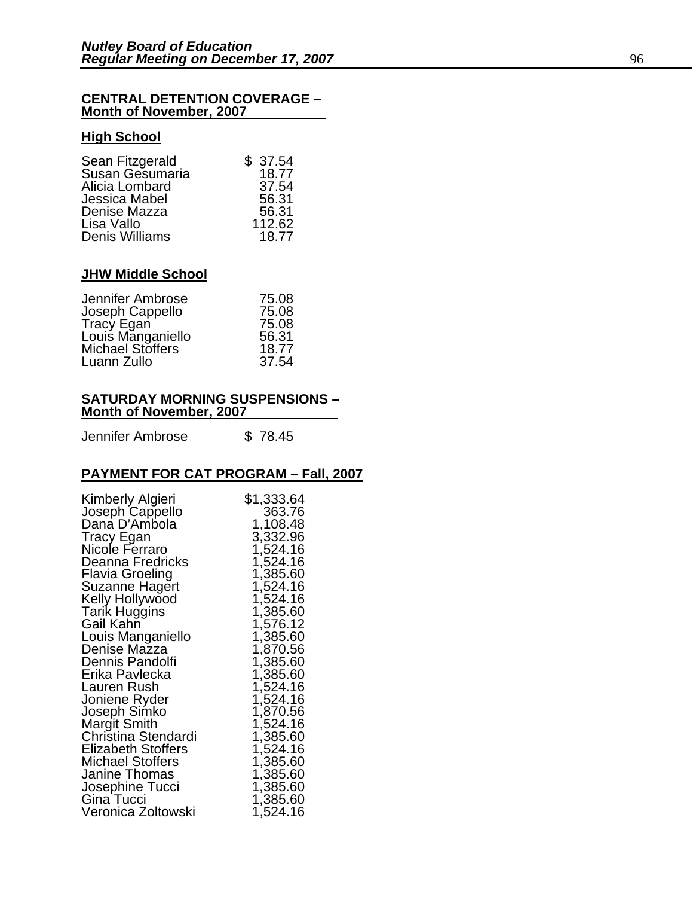#### **CENTRAL DETENTION COVERAGE – Month of November, 2007**

#### **High School**

| Sean Fitzgerald | \$37.54 |
|-----------------|---------|
| Susan Gesumaria | 18.77   |
| Alicia Lombard  | 37.54   |
| Jessica Mabel   | 56.31   |
| Denise Mazza    | 56.31   |
| Lisa Vallo      | 112.62  |
| Denis Williams  | 18.77   |

#### **JHW Middle School**

| Jennifer Ambrose  | 75.08 |
|-------------------|-------|
| Joseph Cappello   | 75.08 |
| Tracy Egan        | 75.08 |
| Louis Manganiello | 56.31 |
| Michael Stoffers  | 18.77 |
| Luann Zullo       | 37.54 |

#### **SATURDAY MORNING SUSPENSIONS – Month of November, 2007**

Jennifer Ambrose \$78.45

#### **PAYMENT FOR CAT PROGRAM – Fall, 2007**

| Kimberly Algieri                  | \$1,333.64           |
|-----------------------------------|----------------------|
| Joseph Cappello                   | 363.76               |
| Dana D'Ambola                     | 1,108.48             |
| <b>Tracy Egan</b>                 | 3,332.96             |
| Nicole Ferraro                    | 1,524.16             |
| Deanna Fredricks                  | 1,524.16             |
| Flavia Groeling                   | 1,385.60             |
| Suzanne Hagert                    | 1,524.16             |
| Kelly Hollywood                   | 1,524.16             |
| <b>Tarik Huggins</b>              | 1,385.60             |
| Gail Kahn                         | 1,576.12             |
| Louis Manganiello<br>Denise Mazza | 1,385.60<br>1,870.56 |
| Dennis Pandolfi                   | 1,385.60             |
| Erika Pavlecka                    | 1,385.60             |
| Lauren Rush                       | 1,524.16             |
| Joniene Ryder                     | 1,524.16             |
| Joseph Simko                      | 1,870.56             |
| <b>Margit Smith</b>               | 1,524.16             |
| Christina Stendardi               | 1,385.60             |
| Elizabeth Stoffers                | 1,524.16             |
| <b>Michael Stoffers</b>           | 1,385.60             |
| Janine Thomas                     | 1,385.60             |
| Josephine Tucci                   | 1,385.60             |
| Gina Tucci                        | 1,385.60             |
| Veronica Zoltowski                | 1,524.16             |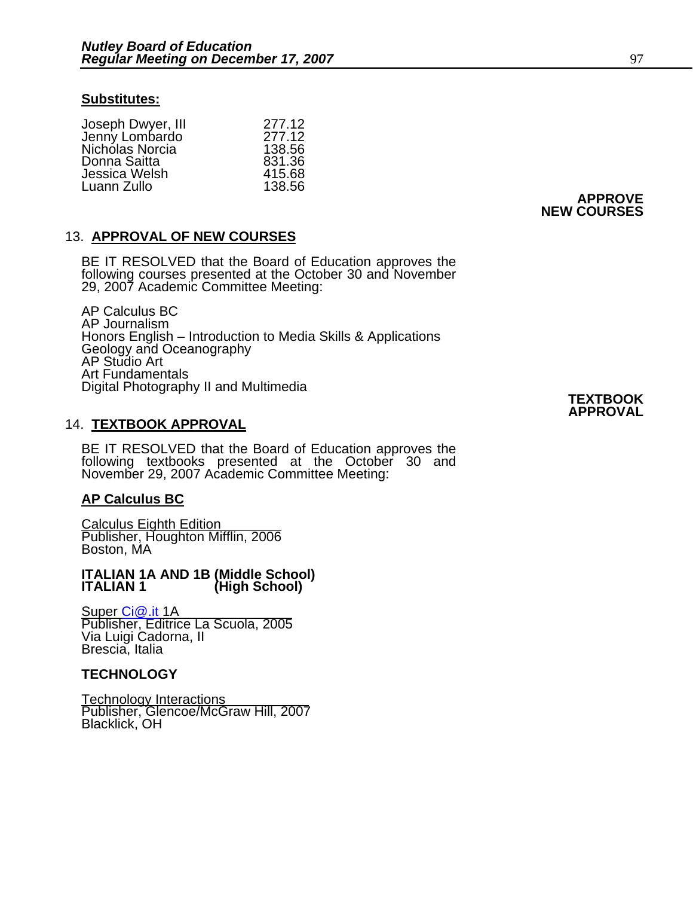#### **Substitutes:**

|                                     | 277.12 |
|-------------------------------------|--------|
| Joseph Dwyer, III<br>Jenny Lombardo | 277.12 |
| Nichólas Norcia                     | 138.56 |
| Donna Saitta                        | 831.36 |
| Jessica Welsh                       | 415.68 |
| Luann Zullo                         | 138.56 |

#### 13. **APPROVAL OF NEW COURSES**

BE IT RESOLVED that the Board of Education approves the following courses presented at the October 30 and November 29, 2007 Academic Committee Meeting:

AP Calculus BC AP Journalism Honors English – Introduction to Media Skills & Applications Geology and Oceanography AP Studio Art Art Fundamentals Digital Photography II and Multimedia **TEXTBOOK TEXTBOOK** 

#### 14. **TEXTBOOK APPROVAL**

BE IT RESOLVED that the Board of Education approves the following textbooks presented at the October 30 and November 29, 2007 Academic Committee Meeting:

#### **AP Calculus BC**

Calculus Eighth Edition Publisher, Houghton Mifflin, 2006 Boston, MA

#### **ITALIAN 1A AND 1B (Middle School) (High School)**

<u>Super Ci@.it</u> 1A Publisher, Editrice La Scuola, 2005 Via Luigi Cadorna, II Brescia, Italia

#### **TECHNOLOGY**

Technology Interactions Publisher, Glencoe/McGraw Hill, 2007 Blacklick, OH

**APPROVAL**

**APPROVE NEW COURSES**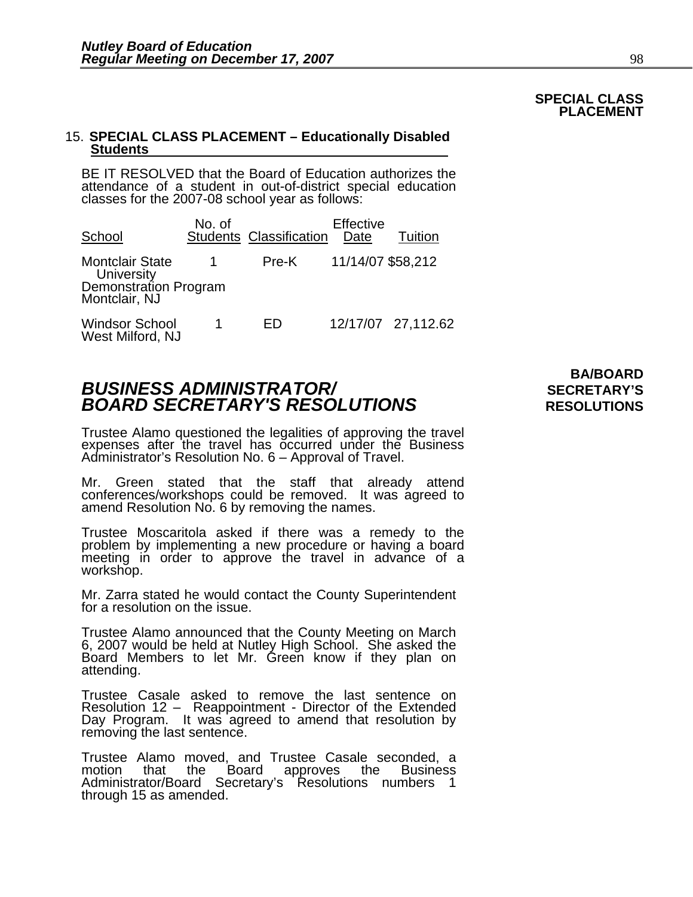#### **SPECIAL CLASS PLACEMENT**

# 15. **SPECIAL CLASS PLACEMENT – Educationally Disabled Students**

BE IT RESOLVED that the Board of Education authorizes the attendance of a student in out-of-district special education classes for the 2007-08 school year as follows:

| School                                    | No. of | <b>Students Classification</b> | Effective<br>Date | Tuition            |
|-------------------------------------------|--------|--------------------------------|-------------------|--------------------|
| <b>Montclair State</b><br>University      |        | Pre-K                          | 11/14/07 \$58,212 |                    |
| Demonstration Program<br>Montclair, NJ    |        |                                |                   |                    |
| <b>Windsor School</b><br>West Milford, NJ |        | ED                             |                   | 12/17/07 27,112.62 |

### **BUSINESS ADMINISTRATOR/** *BUSINESS ADMINISTRATOR/* **BOARD SECRETARY'S RESOLUTIONS** RESOLUTIONS

Trustee Alamo questioned the legalities of approving the travel expenses after the travel has occurred under the Business Administrator's Resolution No. 6 – Approval of Travel.

Mr. Green stated that the staff that already attend conferences/workshops could be removed. It was agreed to amend Resolution No. 6 by removing the names.

Trustee Moscaritola asked if there was a remedy to the problem by implementing a new procedure or having a board meeting in order to approve the travel in advance of a workshop.

Mr. Zarra stated he would contact the County Superintendent for a resolution on the issue.

Trustee Alamo announced that the County Meeting on March 6, 2007 would be held at Nutley High School. She asked the Board Members to let Mr. Green know if they plan on attending.

Trustee Casale asked to remove the last sentence on Resolution 12 – Reappointment - Director of the Extended Day Program. It was agreed to amend that resolution by removing the last sentence.

Trustee Alamo moved, and Trustee Casale seconded, a motion that the Board approves the Business Administrator/Board Secretary's Resolutions numbers 1<br>through 15 as amended.

# **BA/BOARD**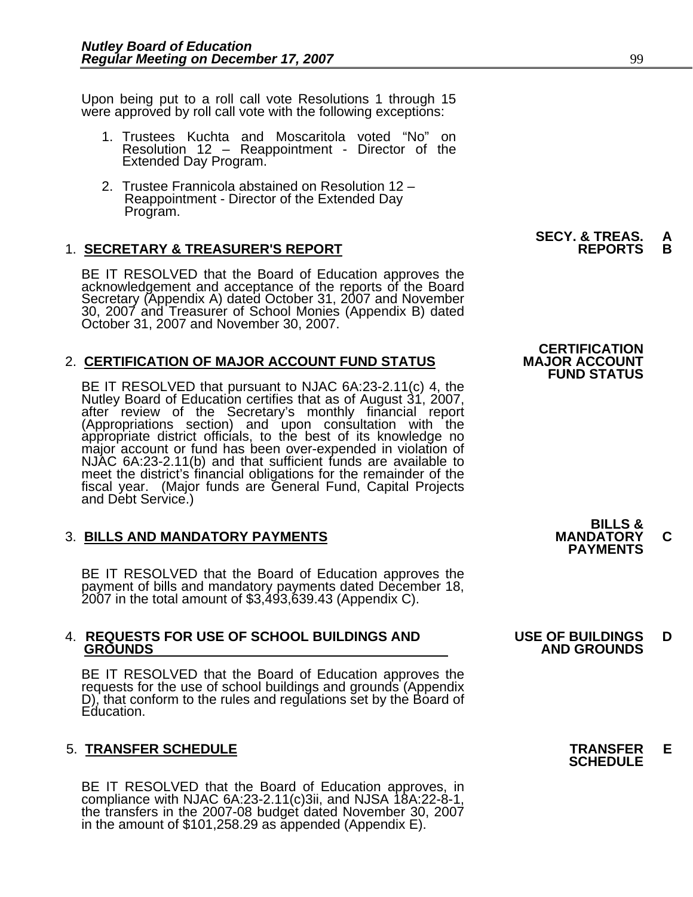Upon being put to a roll call vote Resolutions 1 through 15 were approved by roll call vote with the following exceptions:

- 1. Trustees Kuchta and Moscaritola voted "No" on Resolution 12 – Reappointment - Director of the Extended Day Program.
- 2. Trustee Frannicola abstained on Resolution 12 Reappointment - Director of the Extended Day<br>Program.

#### **1. SECRETARY & TREASURER'S REPORT**

BE IT RESOLVED that the Board of Education approves the<br>acknowledgement and acceptance of the reports of the Board<br>Secretary (Appendix A) dated October 31, 2007 and November 30, 2007 and Treasurer of School Monies (Appendix B) dated<br>October 31, 2007 and November 30, 2007.

#### 2. **CERTIFICATION OF MAJOR ACCOUNT FUND STATUS**

BE IT RESOLVED that pursuant to NJAC 6A:23-2.11(c) 4, the<br>Nutley Board of Education certifies that as of August 31, 2007,<br>after review of the Secretary's monthly financial report<br>(Appropriations section) and upon consultat meet the district's financial obligations for the remainder of the fiscal year. (Major funds are General Fund, Capital Projects and Debt Service.)

### 3. **BILLS AND MANDATORY PAYMENTS MANDATORY C PAYMENTS**

BE IT RESOLVED that the Board of Education approves the payment of bills and mandatory payments dated December 18, 2007 in the total amount of \$3,493,639.43 (Appendix C).

### 4. **REQUESTS FOR USE OF SCHOOL BUILDINGS AND USE OF BUILDINGS D**

BE IT RESOLVED that the Board of Education approves the requests for the use of school buildings and grounds (Appendix D), that conform to the rules and regulations set by the Board of Education.

### 5. **TRANSFER SCHEDULE TRANSFER E SCHEDULE**

BE IT RESOLVED that the Board of Education approves, in compliance with NJAC 6A:23-2.11(c)3ii, and NJSA 18A:22-8-1, the transfers in the 2007-08 budget dated November 30, 2007 in the amount of \$101,258.29 as appended (Appe

**SECY. & TREAS. A<br>REPORTS B** 

### **CERTIFICATION<br>MAJOR ACCOUNT FUND STATUS**

**BILLS &** 

### **GROUNDS AND GROUNDS**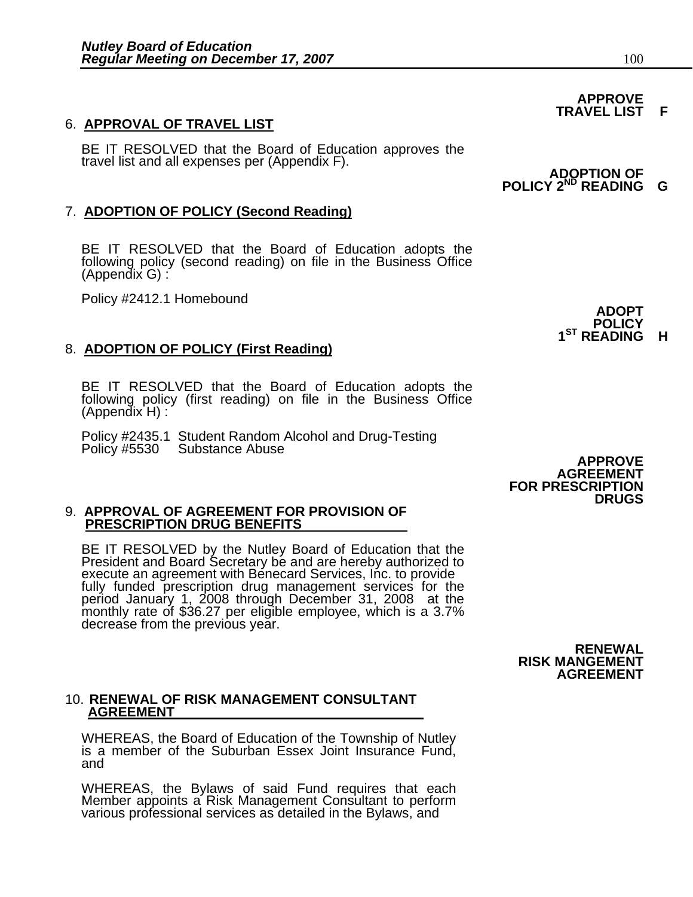6. **APPROVAL OF TRAVEL LIST**<br>BE IT RESOLVED that the Board of Education approves the travel list and all expenses per (Appendix F).

### 7. **ADOPTION OF POLICY (Second Reading)**

BE IT RESOLVED that the Board of Education adopts the following policy (second reading) on file in the Business Office (Appendix G) :

Policy #2412.1 Homebound **ADOPT**

### 8. **ADOPTION OF POLICY (First Reading)**

BE IT RESOLVED that the Board of Education adopts the following policy (first reading) on file in the Business Office (Appendix H) :

Policy #2435.1 Student Random Alcohol and Drug-Testing<br>Policy #5530 Substance Abuse **ADPROVE** 

#### 9. **APPROVAL OF AGREEMENT FOR PROVISION OF PRESCRIPTION DRUG BENEFITS**

BE IT RESOLVED by the Nutley Board of Education that the President and Board Secretary be and are hereby authorized to<br>execute an agreement with Benecard Services, Inc. to provide<br>fully funded prescription drug management services for the<br>period January 1, 2008 through December

#### 10. **RENEWAL OF RISK MANAGEMENT CONSULTANT AGREEMENT**

WHEREAS, the Board of Education of the Township of Nutley<br>is a member of the Suburban Essex Joint Insurance Fund, and

WHEREAS, the Bylaws of said Fund requires that each Member appoints a Risk Management Consultant to perform<br>various professional services as detailed in the Bylaws, and

#### **APPROVE TRAVEL LIST F**

*ADOPTION OF* **POLICY 2ND READING G**

**POLICY 1ST READING H**

**AGREEMENT FOR PRESCRIPTION DRUGS** 

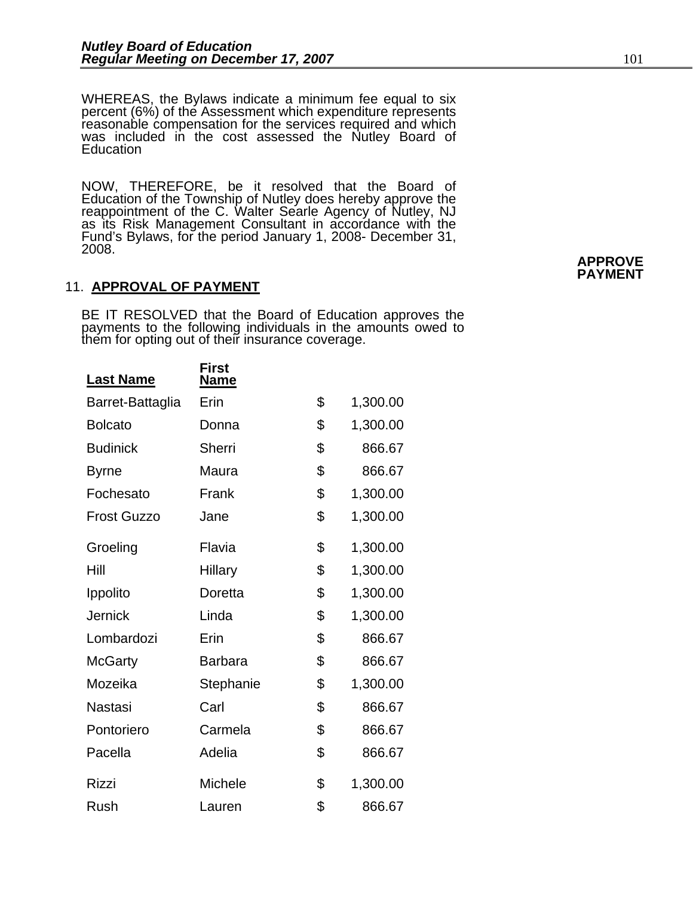WHEREAS, the Bylaws indicate a minimum fee equal to six percent (6%) of the Assessment which expenditure represents reasonable compensation for the services required and which was included in the cost assessed the Nutley Board of **Education** 

NOW, THEREFORE, be it resolved that the Board of Education of the Township of Nutley does hereby approve the reappointment of the C. Walter Searle Agency of Nutley, NJ as its Risk Management Consultant in accordance with the Fund's Bylaws, for the period January 1, 2008- December 31, 2008. **APPROVE PAYMENT** 

#### 11. **APPROVAL OF PAYMENT**

BE IT RESOLVED that the Board of Education approves the payments to the following individuals in the amounts owed to them for opting out of their insurance coverage.

| <b>Last Name</b>   | <b>First</b><br><u>Name</u> |                |
|--------------------|-----------------------------|----------------|
| Barret-Battaglia   | Erin                        | \$<br>1,300.00 |
| <b>Bolcato</b>     | Donna                       | \$<br>1,300.00 |
| <b>Budinick</b>    | Sherri                      | \$<br>866.67   |
| <b>Byrne</b>       | Maura                       | \$<br>866.67   |
| Fochesato          | Frank                       | \$<br>1,300.00 |
| <b>Frost Guzzo</b> | Jane                        | \$<br>1,300.00 |
| Groeling           | Flavia                      | \$<br>1,300.00 |
| Hill               | <b>Hillary</b>              | \$<br>1,300.00 |
| Ippolito           | Doretta                     | \$<br>1,300.00 |
| <b>Jernick</b>     | Linda                       | \$<br>1,300.00 |
| Lombardozi         | Erin                        | \$<br>866.67   |
| <b>McGarty</b>     | <b>Barbara</b>              | \$<br>866.67   |
| Mozeika            | Stephanie                   | \$<br>1,300.00 |
| Nastasi            | Carl                        | \$<br>866.67   |
| Pontoriero         | Carmela                     | \$<br>866.67   |
| Pacella            | Adelia                      | \$<br>866.67   |
| <b>Rizzi</b>       | Michele                     | \$<br>1,300.00 |
| Rush               | Lauren                      | \$<br>866.67   |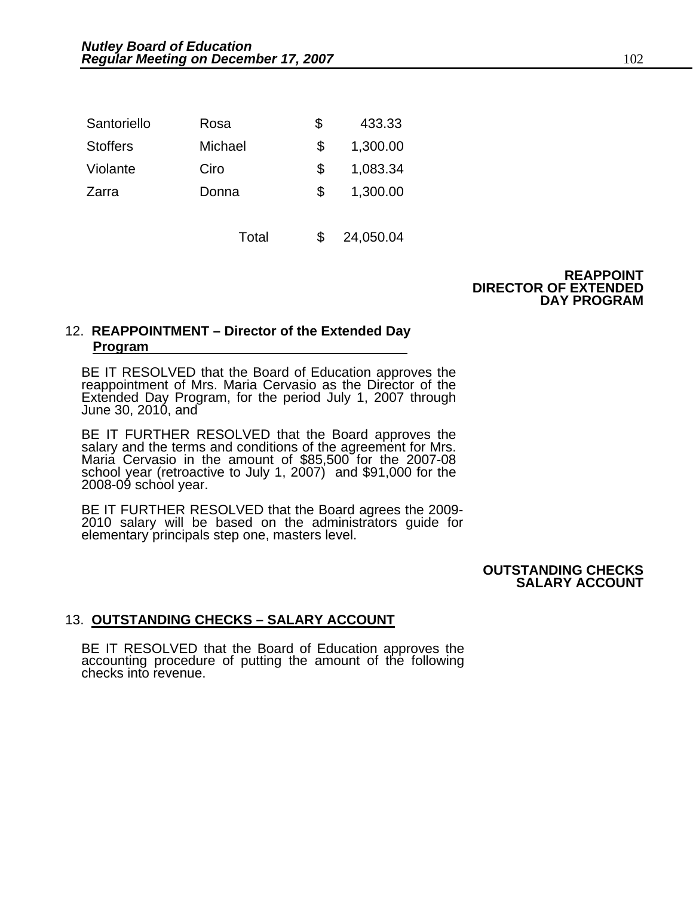| Santoriello     | Rosa    | \$  | 433.33   |
|-----------------|---------|-----|----------|
| <b>Stoffers</b> | Michael |     | 1,300.00 |
| Violante        | Ciro    | \$. | 1,083.34 |
| Zarra           | Donna   | \$. | 1,300.00 |
|                 |         |     |          |

Total \$ 24,050.04

**REAPPOINT DIRECTOR OF EXTENDED DAY PROGRAM** 

#### 12. **REAPPOINTMENT – Director of the Extended Day Program**

BE IT RESOLVED that the Board of Education approves the reappointment of Mrs. Maria Cervasio as the Director of the Extended Day Program, for the period July 1, 2007 through June 30, 2010, and

BE IT FURTHER RESOLVED that the Board approves the salary and the terms and conditions of the agreement for Mrs. Maria Cervasio in the amount of \$85,500 for the 2007-08 school year (retroactive to July 1, 2007) and \$91,000 for the 2008-09 school year.

BE IT FURTHER RESOLVED that the Board agrees the 2009-<br>2010 salary will be based on the administrators guide for<br>elementary principals step one, masters level.

**OUTSTANDING CHECKS SALARY ACCOUNT** 

#### 13. **OUTSTANDING CHECKS – SALARY ACCOUNT**

BE IT RESOLVED that the Board of Education approves the accounting procedure of putting the amount of the following checks into revenue.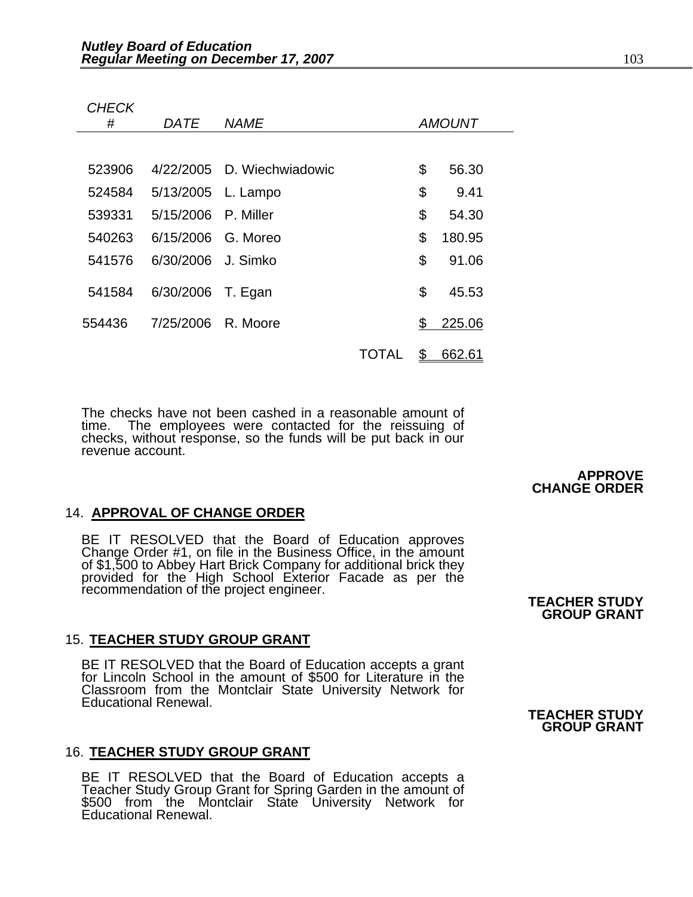*CHECK* 

| #      | <i>DATE</i>         | <b>NAME</b>                |              | <b>AMOUNT</b> |
|--------|---------------------|----------------------------|--------------|---------------|
|        |                     |                            |              |               |
| 523906 |                     | 4/22/2005 D. Wiechwiadowic |              | \$<br>56.30   |
| 524584 | 5/13/2005 L. Lampo  |                            |              | \$<br>9.41    |
| 539331 | 5/15/2006 P. Miller |                            |              | \$<br>54.30   |
| 540263 | 6/15/2006 G. Moreo  |                            |              | \$<br>180.95  |
| 541576 | 6/30/2006 J. Simko  |                            |              | \$<br>91.06   |
| 541584 | 6/30/2006           | T. Egan                    |              | \$<br>45.53   |
| 554436 | 7/25/2006 R. Moore  |                            |              | \$<br>225.06  |
|        |                     |                            | <b>TOTAL</b> | \$<br>662.61  |

The checks have not been cashed in a reasonable amount of time. The employees were contacted for the reissuing of checks, without response, so the funds will be put back in our revenue account.

#### 14. **APPROVAL OF CHANGE ORDER**

BE IT RESOLVED that the Board of Education approves<br>Change Order #1, on file in the Business Office, in the amount<br>of \$1,500 to Abbey Hart Brick Company for additional brick they<br>provided for the High School Exterior Facad

#### 15. **TEACHER STUDY GROUP GRANT**

BE IT RESOLVED that the Board of Education accepts a grant<br>for Lincoln School in the amount of \$500 for Literature in the Classroom from the Montclair State University Network for Educational Renewal.

#### 16. **TEACHER STUDY GROUP GRANT**

BE IT RESOLVED that the Board of Education accepts a Teacher Study Group Grant for Spring Garden in the amount of<br>\$500 from the Montclair State University Network for Educational Renewal.

**APPROVE CHANGE ORDER** 

### **GROUP GRANT**

#### **TEACHER STUDY GROUP GRANT**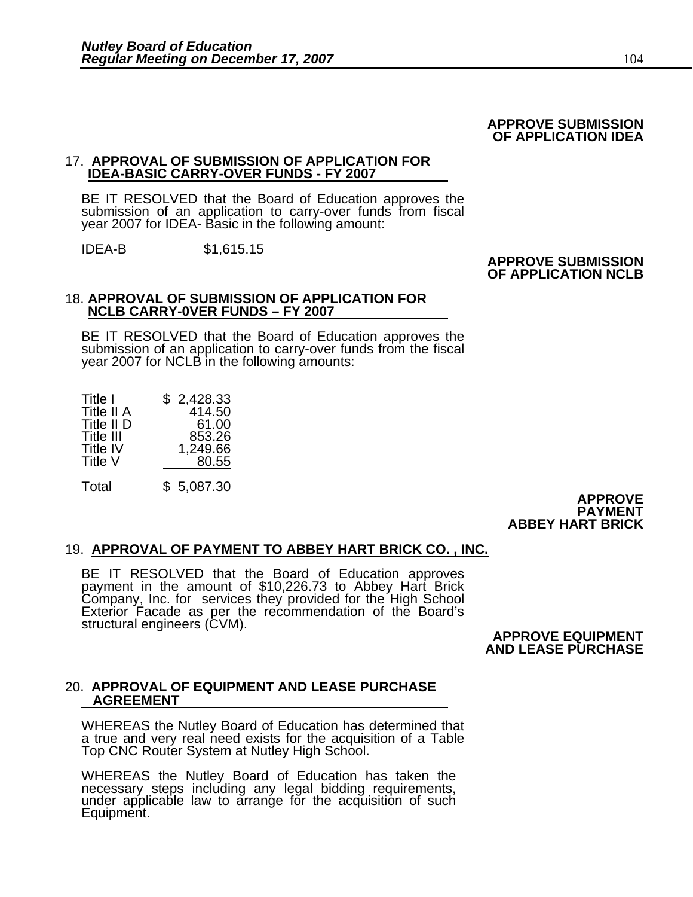#### **APPROVE SUBMISSION OF APPLICATION IDEA**

#### 17. **APPROVAL OF SUBMISSION OF APPLICATION FOR IDEA-BASIC CARRY-OVER FUNDS - FY 2007**

BE IT RESOLVED that the Board of Education approves the submission of an application to carry-over funds from fiscal year 2007 for IDEA- Basic in the following amount:

IDEA-B \$1,615.15

#### **APPROVE SUBMISSION OF APPLICATION NCLB**

## 18. **APPROVAL OF SUBMISSION OF APPLICATION FOR NCLB CARRY-0VER FUNDS – FY 2007**

BE IT RESOLVED that the Board of Education approves the submission of an application to carry-over funds from the fiscal year 2007 for NCLB in the following amounts:

### Total \$ 5,087.30 **APPROVE PAYMENT ABBEY HART BRICK**

#### 19. **APPROVAL OF PAYMENT TO ABBEY HART BRICK CO. , INC.**

BE IT RESOLVED that the Board of Education approves payment in the amount of \$10,226.73 to Abbey Hart Brick Company, Inc. for services they provided for the High School Exterior Facade as per the recommendation of the Board's structural engineers (CVM).<br>**APPROVE EQUIPMENT** 

**AND LEASE PURCHASE** 

#### 20. **APPROVAL OF EQUIPMENT AND LEASE PURCHASE AGREEMENT**

WHEREAS the Nutley Board of Education has determined that a true and very real need exists for the acquisition of a Table Top CNC Router System at Nutley High School.

WHEREAS the Nutley Board of Education has taken the necessary steps including any legal bidding requirements, under applicable law to arrange for the acquisition of such Equipment.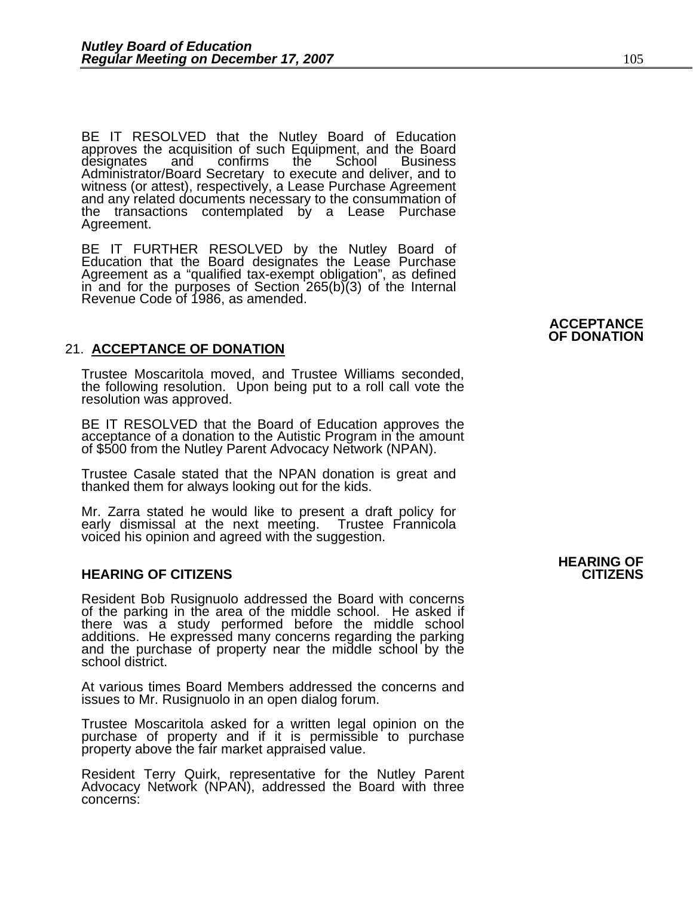BE IT RESOLVED that the Nutley Board of Education approves the acquisition of such Equipment, and the Board designates and confirms the School Business Administrator/Board Secretary to execute and deliver, and to witness (or attest), respectively, a Lease Purchase Agreement and any related documents necessary to the consummation of the transactions contemplated by a Lease Purchase Agreement.

BE IT FURTHER RESOLVED by the Nutley Board of Education that the Board designates the Lease Purchase Agreement as a "qualified tax-exempt obligation", as defined in and for the purposes of Section 265(b)(3) of the Internal Revenue Code of 1986, as amended.

#### 21. **ACCEPTANCE OF DONATION**

Trustee Moscaritola moved, and Trustee Williams seconded, the following resolution. Upon being put to a roll call vote the resolution was approved.

BE IT RESOLVED that the Board of Education approves the acceptance of a donation to the Autistic Program in the amount of \$500 from the Nutley Parent Advocacy Network (NPAN).

Trustee Casale stated that the NPAN donation is great and thanked them for always looking out for the kids.

Mr. Zarra stated he would like to present a draft policy for early dismissal at the next meeting. Trustee Frannicola voiced his opinion and agreed with the suggestion.

#### **HEARING OF CITIZENS CITIZENS**

Resident Bob Rusignuolo addressed the Board with concerns of the parking in the area of the middle school. He asked if there was a study performed before the middle school additions. He expressed many concerns regarding the parking and the purchase of property near the middle school by the school district.

At various times Board Members addressed the concerns and issues to Mr. Rusignuolo in an open dialog forum.

Trustee Moscaritola asked for a written legal opinion on the purchase of property and if it is permissible to purchase property above the fair market appraised value.

Resident Terry Quirk, representative for the Nutley Parent Advocacy Network (NPAN), addressed the Board with three concerns:

### **HEARING OF**

#### **ACCEPTANCE OF DONATION**